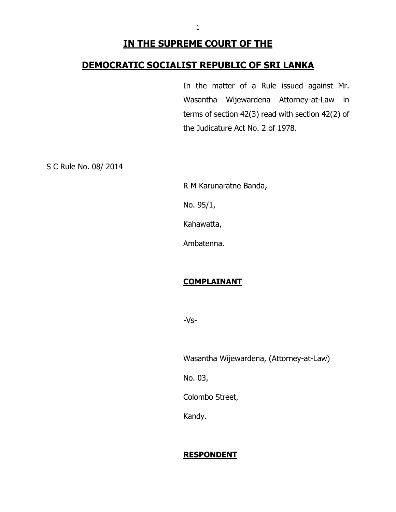## **IN THE SUPREME COURT OF THE**

## **DEMOCRATIC SOCIALIST REPUBLIC OF SRI LANKA**

In the matter of a Rule issued against Mr. Wasantha Wijewardena Attorney-at-Law in terms of section 42(3) read with section 42(2) of the Judicature Act No. 2 of 1978.

S C Rule No. 08/ 2014

R M Karunaratne Banda,

No. 95/1,

Kahawatta,

Ambatenna.

## **COMPLAINANT**

-Vs-

Wasantha Wijewardena, (Attorney-at-Law)

No. 03,

Colombo Street,

Kandy.

#### **RESPONDENT**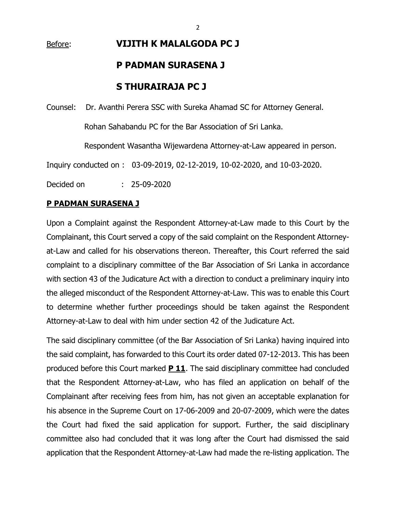# Before: **VIJITH K MALALGODA PC J P PADMAN SURASENA J S THURAIRAJA PC J**

Counsel: Dr. Avanthi Perera SSC with Sureka Ahamad SC for Attorney General.

Rohan Sahabandu PC for the Bar Association of Sri Lanka.

Respondent Wasantha Wijewardena Attorney-at-Law appeared in person.

Inquiry conducted on : 03-09-2019, 02-12-2019, 10-02-2020, and 10-03-2020.

Decided on : 25-09-2020

#### **P PADMAN SURASENA J**

Upon a Complaint against the Respondent Attorney-at-Law made to this Court by the Complainant, this Court served a copy of the said complaint on the Respondent Attorneyat-Law and called for his observations thereon. Thereafter, this Court referred the said complaint to a disciplinary committee of the Bar Association of Sri Lanka in accordance with section 43 of the Judicature Act with a direction to conduct a preliminary inquiry into the alleged misconduct of the Respondent Attorney-at-Law. This was to enable this Court to determine whether further proceedings should be taken against the Respondent Attorney-at-Law to deal with him under section 42 of the Judicature Act.

The said disciplinary committee (of the Bar Association of Sri Lanka) having inquired into the said complaint, has forwarded to this Court its order dated 07-12-2013. This has been produced before this Court marked **P 11**. The said disciplinary committee had concluded that the Respondent Attorney-at-Law, who has filed an application on behalf of the Complainant after receiving fees from him, has not given an acceptable explanation for his absence in the Supreme Court on 17-06-2009 and 20-07-2009, which were the dates the Court had fixed the said application for support. Further, the said disciplinary committee also had concluded that it was long after the Court had dismissed the said application that the Respondent Attorney-at-Law had made the re-listing application. The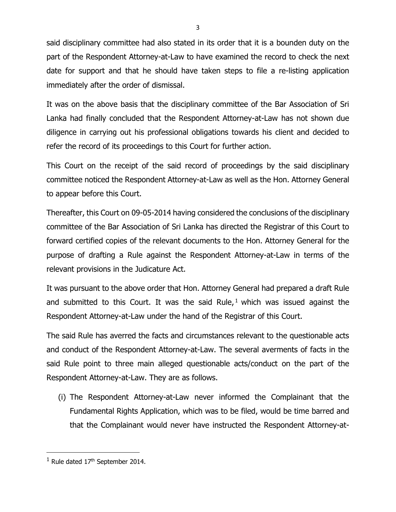said disciplinary committee had also stated in its order that it is a bounden duty on the part of the Respondent Attorney-at-Law to have examined the record to check the next date for support and that he should have taken steps to file a re-listing application immediately after the order of dismissal.

It was on the above basis that the disciplinary committee of the Bar Association of Sri Lanka had finally concluded that the Respondent Attorney-at-Law has not shown due diligence in carrying out his professional obligations towards his client and decided to refer the record of its proceedings to this Court for further action.

This Court on the receipt of the said record of proceedings by the said disciplinary committee noticed the Respondent Attorney-at-Law as well as the Hon. Attorney General to appear before this Court.

Thereafter, this Court on 09-05-2014 having considered the conclusions of the disciplinary committee of the Bar Association of Sri Lanka has directed the Registrar of this Court to forward certified copies of the relevant documents to the Hon. Attorney General for the purpose of drafting a Rule against the Respondent Attorney-at-Law in terms of the relevant provisions in the Judicature Act.

It was pursuant to the above order that Hon. Attorney General had prepared a draft Rule and submitted to this Court. It was the said Rule, <sup>1</sup> which was issued against the Respondent Attorney-at-Law under the hand of the Registrar of this Court.

The said Rule has averred the facts and circumstances relevant to the questionable acts and conduct of the Respondent Attorney-at-Law. The several averments of facts in the said Rule point to three main alleged questionable acts/conduct on the part of the Respondent Attorney-at-Law. They are as follows.

(i) The Respondent Attorney-at-Law never informed the Complainant that the Fundamental Rights Application, which was to be filed, would be time barred and that the Complainant would never have instructed the Respondent Attorney-at-

 $1$  Rule dated  $17<sup>th</sup>$  September 2014.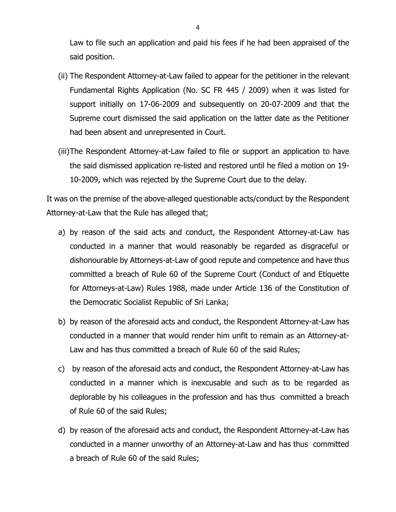Law to file such an application and paid his fees if he had been appraised of the said position.

- (ii) The Respondent Attorney-at-Law failed to appear for the petitioner in the relevant Fundamental Rights Application (No. SC FR 445 / 2009) when it was listed for support initially on 17-06-2009 and subsequently on 20-07-2009 and that the Supreme court dismissed the said application on the latter date as the Petitioner had been absent and unrepresented in Court.
- (iii)The Respondent Attorney-at-Law failed to file or support an application to have the said dismissed application re-listed and restored until he filed a motion on 19- 10-2009, which was rejected by the Supreme Court due to the delay.

It was on the premise of the above-alleged questionable acts/conduct by the Respondent Attorney-at-Law that the Rule has alleged that;

- a) by reason of the said acts and conduct, the Respondent Attorney-at-Law has conducted in a manner that would reasonably be regarded as disgraceful or dishonourable by Attorneys-at-Law of good repute and competence and have thus committed a breach of Rule 60 of the Supreme Court (Conduct of and Etiquette for Attorneys-at-Law) Rules 1988, made under Article 136 of the Constitution of the Democratic Socialist Republic of Sri Lanka;
- b) by reason of the aforesaid acts and conduct, the Respondent Attorney-at-Law has conducted in a manner that would render him unfit to remain as an Attorney-at-Law and has thus committed a breach of Rule 60 of the said Rules;
- c) by reason of the aforesaid acts and conduct, the Respondent Attorney-at-Law has conducted in a manner which is inexcusable and such as to be regarded as deplorable by his colleagues in the profession and has thus committed a breach of Rule 60 of the said Rules;
- d) by reason of the aforesaid acts and conduct, the Respondent Attorney-at-Law has conducted in a manner unworthy of an Attorney-at-Law and has thus committed a breach of Rule 60 of the said Rules;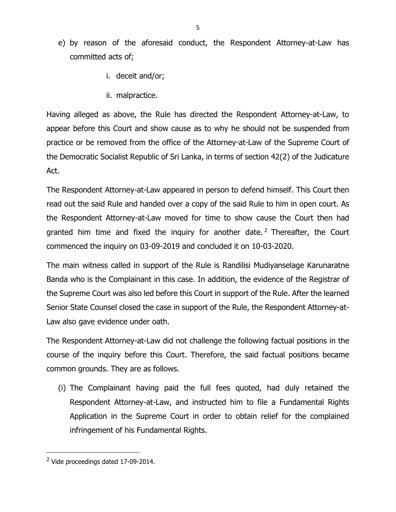- e) by reason of the aforesaid conduct, the Respondent Attorney-at-Law has committed acts of;
	- i. deceit and/or;
	- ii. malpractice.

Having alleged as above, the Rule has directed the Respondent Attorney-at-Law, to appear before this Court and show cause as to why he should not be suspended from practice or be removed from the office of the Attorney-at-Law of the Supreme Court of the Democratic Socialist Republic of Sri Lanka, in terms of section 42(2) of the Judicature Act.

The Respondent Attorney-at-Law appeared in person to defend himself. This Court then read out the said Rule and handed over a copy of the said Rule to him in open court. As the Respondent Attorney-at-Law moved for time to show cause the Court then had granted him time and fixed the inquiry for another date.<sup>2</sup> Thereafter, the Court commenced the inquiry on 03-09-2019 and concluded it on 10-03-2020.

The main witness called in support of the Rule is Randilisi Mudiyanselage Karunaratne Banda who is the Complainant in this case. In addition, the evidence of the Registrar of the Supreme Court was also led before this Court in support of the Rule. After the learned Senior State Counsel closed the case in support of the Rule, the Respondent Attorney-at-Law also gave evidence under oath.

The Respondent Attorney-at-Law did not challenge the following factual positions in the course of the inquiry before this Court. Therefore, the said factual positions became common grounds. They are as follows.

(i) The Complainant having paid the full fees quoted, had duly retained the Respondent Attorney-at-Law, and instructed him to file a Fundamental Rights Application in the Supreme Court in order to obtain relief for the complained infringement of his Fundamental Rights.

<sup>2</sup> Vide proceedings dated 17-09-2014.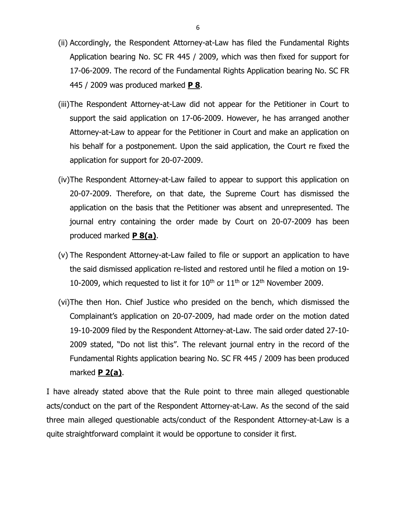- (ii) Accordingly, the Respondent Attorney-at-Law has filed the Fundamental Rights Application bearing No. SC FR 445 / 2009, which was then fixed for support for 17-06-2009. The record of the Fundamental Rights Application bearing No. SC FR 445 / 2009 was produced marked **P 8**.
- (iii)The Respondent Attorney-at-Law did not appear for the Petitioner in Court to support the said application on 17-06-2009. However, he has arranged another Attorney-at-Law to appear for the Petitioner in Court and make an application on his behalf for a postponement. Upon the said application, the Court re fixed the application for support for 20-07-2009.
- (iv)The Respondent Attorney-at-Law failed to appear to support this application on 20-07-2009. Therefore, on that date, the Supreme Court has dismissed the application on the basis that the Petitioner was absent and unrepresented. The journal entry containing the order made by Court on 20-07-2009 has been produced marked **P 8(a)**.
- (v) The Respondent Attorney-at-Law failed to file or support an application to have the said dismissed application re-listed and restored until he filed a motion on 19- 10-2009, which requested to list it for  $10^{th}$  or  $11^{th}$  or  $12^{th}$  November 2009.
- (vi)The then Hon. Chief Justice who presided on the bench, which dismissed the Complainant's application on 20-07-2009, had made order on the motion dated 19-10-2009 filed by the Respondent Attorney-at-Law. The said order dated 27-10- 2009 stated, "Do not list this". The relevant journal entry in the record of the Fundamental Rights application bearing No. SC FR 445 / 2009 has been produced marked **P 2(a)**.

I have already stated above that the Rule point to three main alleged questionable acts/conduct on the part of the Respondent Attorney-at-Law. As the second of the said three main alleged questionable acts/conduct of the Respondent Attorney-at-Law is a quite straightforward complaint it would be opportune to consider it first.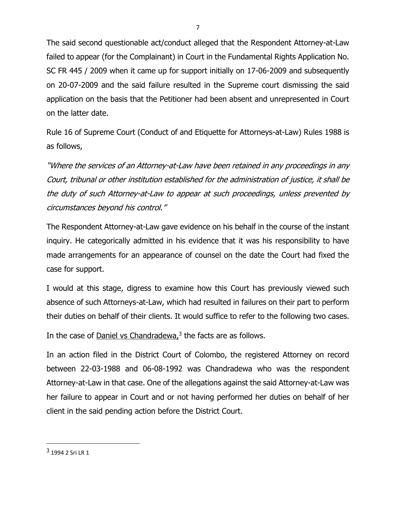The said second questionable act/conduct alleged that the Respondent Attorney-at-Law failed to appear (for the Complainant) in Court in the Fundamental Rights Application No. SC FR 445 / 2009 when it came up for support initially on 17-06-2009 and subsequently on 20-07-2009 and the said failure resulted in the Supreme court dismissing the said application on the basis that the Petitioner had been absent and unrepresented in Court on the latter date.

Rule 16 of Supreme Court (Conduct of and Etiquette for Attorneys-at-Law) Rules 1988 is as follows,

"Where the services of an Attorney-at-Law have been retained in any proceedings in any Court, tribunal or other institution established for the administration of justice, it shall be the duty of such Attorney-at-Law to appear at such proceedings, unless prevented by circumstances beyond his control."

The Respondent Attorney-at-Law gave evidence on his behalf in the course of the instant inquiry. He categorically admitted in his evidence that it was his responsibility to have made arrangements for an appearance of counsel on the date the Court had fixed the case for support.

I would at this stage, digress to examine how this Court has previously viewed such absence of such Attorneys-at-Law, which had resulted in failures on their part to perform their duties on behalf of their clients. It would suffice to refer to the following two cases.

In the case of **Daniel vs Chandradewa**,<sup>3</sup> the facts are as follows.

In an action filed in the District Court of Colombo, the registered Attorney on record between 22-03-1988 and 06-08-1992 was Chandradewa who was the respondent Attorney-at-Law in that case. One of the allegations against the said Attorney-at-Law was her failure to appear in Court and or not having performed her duties on behalf of her client in the said pending action before the District Court.

<sup>&</sup>lt;sup>3</sup> 1994 2 Sri LR 1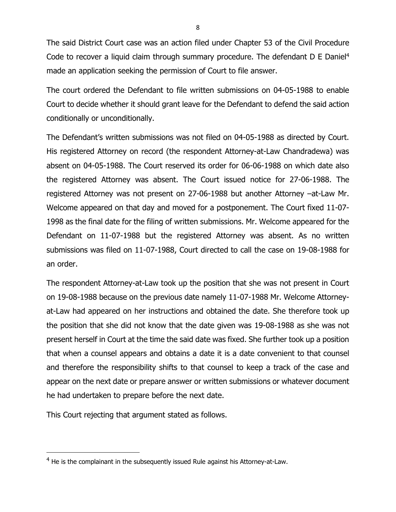The said District Court case was an action filed under Chapter 53 of the Civil Procedure Code to recover a liquid claim through summary procedure. The defendant D E Daniel<sup>4</sup> made an application seeking the permission of Court to file answer.

The court ordered the Defendant to file written submissions on 04-05-1988 to enable Court to decide whether it should grant leave for the Defendant to defend the said action conditionally or unconditionally.

The Defendant's written submissions was not filed on 04-05-1988 as directed by Court. His registered Attorney on record (the respondent Attorney-at-Law Chandradewa) was absent on 04-05-1988. The Court reserved its order for 06-06-1988 on which date also the registered Attorney was absent. The Court issued notice for 27-06-1988. The registered Attorney was not present on 27-06-1988 but another Attorney –at-Law Mr. Welcome appeared on that day and moved for a postponement. The Court fixed 11-07- 1998 as the final date for the filing of written submissions. Mr. Welcome appeared for the Defendant on 11-07-1988 but the registered Attorney was absent. As no written submissions was filed on 11-07-1988, Court directed to call the case on 19-08-1988 for an order.

The respondent Attorney-at-Law took up the position that she was not present in Court on 19-08-1988 because on the previous date namely 11-07-1988 Mr. Welcome Attorneyat-Law had appeared on her instructions and obtained the date. She therefore took up the position that she did not know that the date given was 19-08-1988 as she was not present herself in Court at the time the said date was fixed. She further took up a position that when a counsel appears and obtains a date it is a date convenient to that counsel and therefore the responsibility shifts to that counsel to keep a track of the case and appear on the next date or prepare answer or written submissions or whatever document he had undertaken to prepare before the next date.

This Court rejecting that argument stated as follows.

<sup>&</sup>lt;sup>4</sup> He is the complainant in the subsequently issued Rule against his Attorney-at-Law.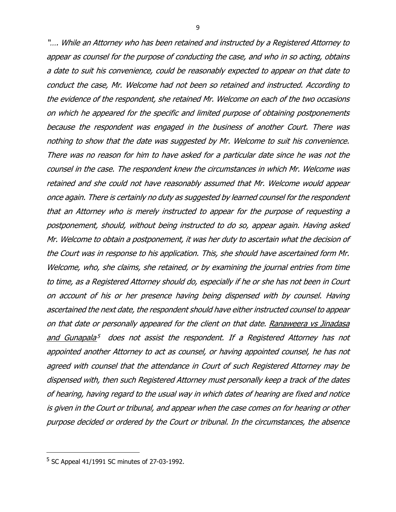"…. While an Attorney who has been retained and instructed by <sup>a</sup> Registered Attorney to appear as counsel for the purpose of conducting the case, and who in so acting, obtains <sup>a</sup> date to suit his convenience, could be reasonably expected to appear on that date to conduct the case, Mr. Welcome had not been so retained and instructed. According to the evidence of the respondent, she retained Mr. Welcome on each of the two occasions on which he appeared for the specific and limited purpose of obtaining postponements because the respondent was engaged in the business of another Court. There was nothing to show that the date was suggested by Mr. Welcome to suit his convenience. There was no reason for him to have asked for <sup>a</sup> particular date since he was not the counsel in the case. The respondent knew the circumstances in which Mr. Welcome was retained and she could not have reasonably assumed that Mr. Welcome would appear once again. There is certainly no duty as suggested by learned counsel for the respondent that an Attorney who is merely instructed to appear for the purpose of requesting <sup>a</sup> postponement, should, without being instructed to do so, appear again. Having asked Mr. Welcome to obtain <sup>a</sup> postponement, it was her duty to ascertain what the decision of the Court was in response to his application. This, she should have ascertained form Mr. Welcome, who, she claims, she retained, or by examining the journal entries from time to time, as <sup>a</sup> Registered Attorney should do, especially if he or she has not been in Court on account of his or her presence having being dispensed with by counsel. Having ascertained the next date, the respondent should have either instructed counsel to appear on that date or personally appeared for the client on that date. Ranaweera vs Jinadasa and Gunapala<sup>5</sup> does not assist the respondent. If a Registered Attorney has not appointed another Attorney to act as counsel, or having appointed counsel, he has not agreed with counsel that the attendance in Court of such Registered Attorney may be dispensed with, then such Registered Attorney must personally keep <sup>a</sup> track of the dates of hearing, having regard to the usual way in which dates of hearing are fixed and notice is given in the Court or tribunal, and appear when the case comes on for hearing or other purpose decided or ordered by the Court or tribunal. In the circumstances, the absence

<sup>5</sup> SC Appeal 41/1991 SC minutes of 27-03-1992.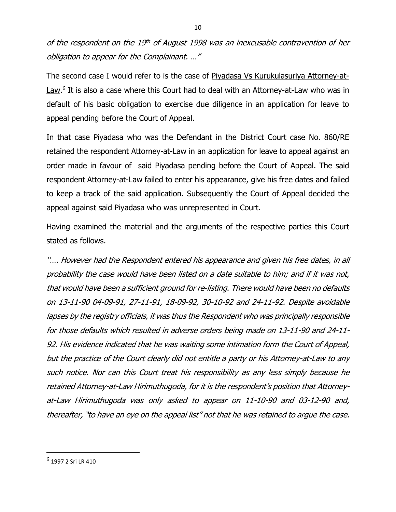of the respondent on the 19<sup>th</sup> of August 1998 was an inexcusable contravention of her obligation to appear for the Complainant. …"

The second case I would refer to is the case of Piyadasa Vs Kurukulasuriya Attorney-at-Law.<sup>6</sup> It is also a case where this Court had to deal with an Attorney-at-Law who was in default of his basic obligation to exercise due diligence in an application for leave to appeal pending before the Court of Appeal.

In that case Piyadasa who was the Defendant in the District Court case No. 860/RE retained the respondent Attorney-at-Law in an application for leave to appeal against an order made in favour of said Piyadasa pending before the Court of Appeal. The said respondent Attorney-at-Law failed to enter his appearance, give his free dates and failed to keep a track of the said application. Subsequently the Court of Appeal decided the appeal against said Piyadasa who was unrepresented in Court.

Having examined the material and the arguments of the respective parties this Court stated as follows.

"…. However had the Respondent entered his appearance and given his free dates, in all probability the case would have been listed on <sup>a</sup> date suitable to him; and if it was not, that would have been <sup>a</sup> sufficient ground for re-listing. There would have been no defaults on 13-11-90 04-09-91, 27-11-91, 18-09-92, 30-10-92 and 24-11-92. Despite avoidable lapses by the registry officials, it was thus the Respondent who was principally responsible for those defaults which resulted in adverse orders being made on 13-11-90 and 24-11- 92. His evidence indicated that he was waiting some intimation form the Court of Appeal, but the practice of the Court clearly did not entitle <sup>a</sup> party or his Attorney-at-Law to any such notice. Nor can this Court treat his responsibility as any less simply because he retained Attorney-at-Law Hirimuthugoda, for it is the <sup>r</sup>espondent's position that Attorneyat-Law Hirimuthugoda was only asked to appear on 11-10-90 and 03-12-90 and, thereafter, "to have an eye on the appeal list" not that he was retained to argue the case.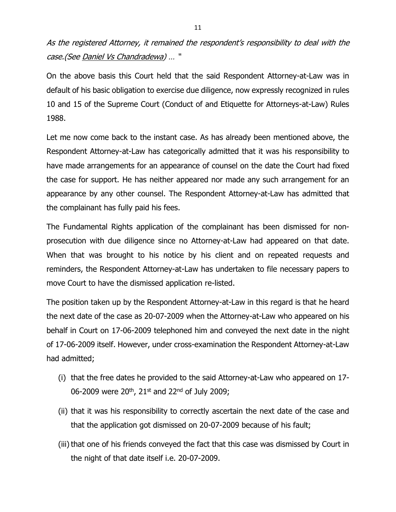As the registered Attorney, it remained the <sup>r</sup>espondent's responsibility to deal with the case.(See Daniel Vs Chandradewa) … "

On the above basis this Court held that the said Respondent Attorney-at-Law was in default of his basic obligation to exercise due diligence, now expressly recognized in rules 10 and 15 of the Supreme Court (Conduct of and Etiquette for Attorneys-at-Law) Rules 1988.

Let me now come back to the instant case. As has already been mentioned above, the Respondent Attorney-at-Law has categorically admitted that it was his responsibility to have made arrangements for an appearance of counsel on the date the Court had fixed the case for support. He has neither appeared nor made any such arrangement for an appearance by any other counsel. The Respondent Attorney-at-Law has admitted that the complainant has fully paid his fees.

The Fundamental Rights application of the complainant has been dismissed for nonprosecution with due diligence since no Attorney-at-Law had appeared on that date. When that was brought to his notice by his client and on repeated requests and reminders, the Respondent Attorney-at-Law has undertaken to file necessary papers to move Court to have the dismissed application re-listed.

The position taken up by the Respondent Attorney-at-Law in this regard is that he heard the next date of the case as 20-07-2009 when the Attorney-at-Law who appeared on his behalf in Court on 17-06-2009 telephoned him and conveyed the next date in the night of 17-06-2009 itself. However, under cross-examination the Respondent Attorney-at-Law had admitted;

- (i) that the free dates he provided to the said Attorney-at-Law who appeared on 17- 06-2009 were  $20^{th}$ , 21st and 22<sup>nd</sup> of July 2009;
- (ii) that it was his responsibility to correctly ascertain the next date of the case and that the application got dismissed on 20-07-2009 because of his fault;
- (iii) that one of his friends conveyed the fact that this case was dismissed by Court in the night of that date itself i.e. 20-07-2009.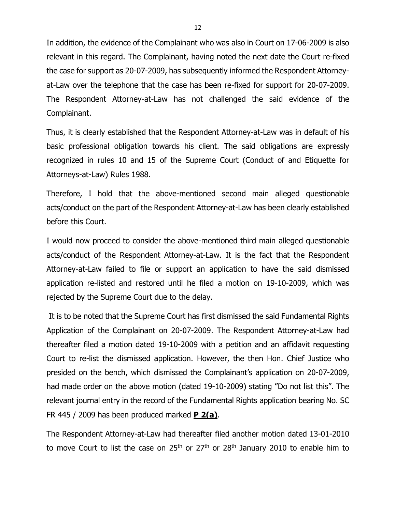In addition, the evidence of the Complainant who was also in Court on 17-06-2009 is also relevant in this regard. The Complainant, having noted the next date the Court re-fixed the case for support as 20-07-2009, has subsequently informed the Respondent Attorneyat-Law over the telephone that the case has been re-fixed for support for 20-07-2009. The Respondent Attorney-at-Law has not challenged the said evidence of the Complainant.

Thus, it is clearly established that the Respondent Attorney-at-Law was in default of his basic professional obligation towards his client. The said obligations are expressly recognized in rules 10 and 15 of the Supreme Court (Conduct of and Etiquette for Attorneys-at-Law) Rules 1988.

Therefore, I hold that the above-mentioned second main alleged questionable acts/conduct on the part of the Respondent Attorney-at-Law has been clearly established before this Court.

I would now proceed to consider the above-mentioned third main alleged questionable acts/conduct of the Respondent Attorney-at-Law. It is the fact that the Respondent Attorney-at-Law failed to file or support an application to have the said dismissed application re-listed and restored until he filed a motion on 19-10-2009, which was rejected by the Supreme Court due to the delay.

It is to be noted that the Supreme Court has first dismissed the said Fundamental Rights Application of the Complainant on 20-07-2009. The Respondent Attorney-at-Law had thereafter filed a motion dated 19-10-2009 with a petition and an affidavit requesting Court to re-list the dismissed application. However, the then Hon. Chief Justice who presided on the bench, which dismissed the Complainant's application on 20-07-2009, had made order on the above motion (dated 19-10-2009) stating "Do not list this". The relevant journal entry in the record of the Fundamental Rights application bearing No. SC FR 445 / 2009 has been produced marked **P 2(a)**.

The Respondent Attorney-at-Law had thereafter filed another motion dated 13-01-2010 to move Court to list the case on  $25<sup>th</sup>$  or  $27<sup>th</sup>$  or  $28<sup>th</sup>$  January 2010 to enable him to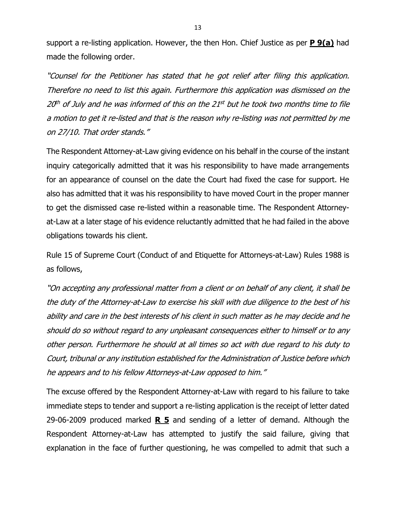support a re-listing application. However, the then Hon. Chief Justice as per **P 9(a)** had made the following order.

"Counsel for the Petitioner has stated that he got relief after filing this application. Therefore no need to list this again. Furthermore this application was dismissed on the 20<sup>th</sup> of July and he was informed of this on the 21st but he took two months time to file <sup>a</sup> motion to get it re-listed and that is the reason why re-listing was not permitted by me on 27/10. That order stands."

The Respondent Attorney-at-Law giving evidence on his behalf in the course of the instant inquiry categorically admitted that it was his responsibility to have made arrangements for an appearance of counsel on the date the Court had fixed the case for support. He also has admitted that it was his responsibility to have moved Court in the proper manner to get the dismissed case re-listed within a reasonable time. The Respondent Attorneyat-Law at a later stage of his evidence reluctantly admitted that he had failed in the above obligations towards his client.

Rule 15 of Supreme Court (Conduct of and Etiquette for Attorneys-at-Law) Rules 1988 is as follows,

"On accepting any professional matter from <sup>a</sup> client or on behalf of any client, it shall be the duty of the Attorney-at-Law to exercise his skill with due diligence to the best of his ability and care in the best interests of his client in such matter as he may decide and he should do so without regard to any unpleasant consequences either to himself or to any other person. Furthermore he should at all times so act with due regard to his duty to Court, tribunal or any institution established for the Administration of Justice before which he appears and to his fellow Attorneys-at-Law opposed to him."

The excuse offered by the Respondent Attorney-at-Law with regard to his failure to take immediate steps to tender and support a re-listing application is the receipt of letter dated 29-06-2009 produced marked **R 5** and sending of a letter of demand. Although the Respondent Attorney-at-Law has attempted to justify the said failure, giving that explanation in the face of further questioning, he was compelled to admit that such a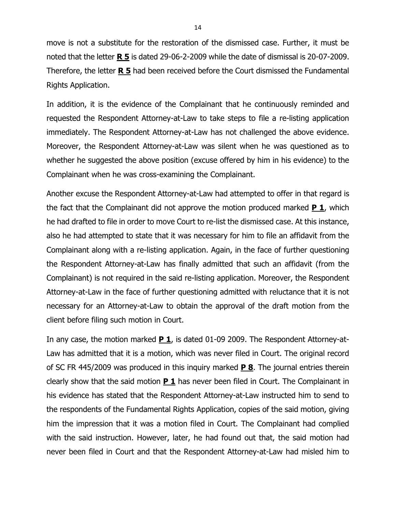move is not a substitute for the restoration of the dismissed case. Further, it must be noted that the letter **R 5** is dated 29-06-2-2009 while the date of dismissal is 20-07-2009. Therefore, the letter **R 5** had been received before the Court dismissed the Fundamental Rights Application.

In addition, it is the evidence of the Complainant that he continuously reminded and requested the Respondent Attorney-at-Law to take steps to file a re-listing application immediately. The Respondent Attorney-at-Law has not challenged the above evidence. Moreover, the Respondent Attorney-at-Law was silent when he was questioned as to whether he suggested the above position (excuse offered by him in his evidence) to the Complainant when he was cross-examining the Complainant.

Another excuse the Respondent Attorney-at-Law had attempted to offer in that regard is the fact that the Complainant did not approve the motion produced marked **P 1**, which he had drafted to file in order to move Court to re-list the dismissed case. At this instance, also he had attempted to state that it was necessary for him to file an affidavit from the Complainant along with a re-listing application. Again, in the face of further questioning the Respondent Attorney-at-Law has finally admitted that such an affidavit (from the Complainant) is not required in the said re-listing application. Moreover, the Respondent Attorney-at-Law in the face of further questioning admitted with reluctance that it is not necessary for an Attorney-at-Law to obtain the approval of the draft motion from the client before filing such motion in Court.

In any case, the motion marked **P 1**, is dated 01-09 2009. The Respondent Attorney-at-Law has admitted that it is a motion, which was never filed in Court. The original record of SC FR 445/2009 was produced in this inquiry marked **P 8**. The journal entries therein clearly show that the said motion **P 1** has never been filed in Court. The Complainant in his evidence has stated that the Respondent Attorney-at-Law instructed him to send to the respondents of the Fundamental Rights Application, copies of the said motion, giving him the impression that it was a motion filed in Court. The Complainant had complied with the said instruction. However, later, he had found out that, the said motion had never been filed in Court and that the Respondent Attorney-at-Law had misled him to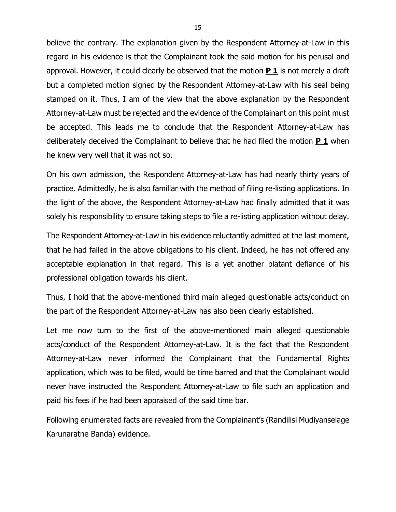believe the contrary. The explanation given by the Respondent Attorney-at-Law in this regard in his evidence is that the Complainant took the said motion for his perusal and approval. However, it could clearly be observed that the motion **P 1** is not merely a draft but a completed motion signed by the Respondent Attorney-at-Law with his seal being stamped on it. Thus, I am of the view that the above explanation by the Respondent Attorney-at-Law must be rejected and the evidence of the Complainant on this point must be accepted. This leads me to conclude that the Respondent Attorney-at-Law has deliberately deceived the Complainant to believe that he had filed the motion **P 1** when he knew very well that it was not so.

On his own admission, the Respondent Attorney-at-Law has had nearly thirty years of practice. Admittedly, he is also familiar with the method of filing re-listing applications. In the light of the above, the Respondent Attorney-at-Law had finally admitted that it was solely his responsibility to ensure taking steps to file a re-listing application without delay.

The Respondent Attorney-at-Law in his evidence reluctantly admitted at the last moment, that he had failed in the above obligations to his client. Indeed, he has not offered any acceptable explanation in that regard. This is a yet another blatant defiance of his professional obligation towards his client.

Thus, I hold that the above-mentioned third main alleged questionable acts/conduct on the part of the Respondent Attorney-at-Law has also been clearly established.

Let me now turn to the first of the above-mentioned main alleged questionable acts/conduct of the Respondent Attorney-at-Law. It is the fact that the Respondent Attorney-at-Law never informed the Complainant that the Fundamental Rights application, which was to be filed, would be time barred and that the Complainant would never have instructed the Respondent Attorney-at-Law to file such an application and paid his fees if he had been appraised of the said time bar.

Following enumerated facts are revealed from the Complainant's (Randilisi Mudiyanselage Karunaratne Banda) evidence.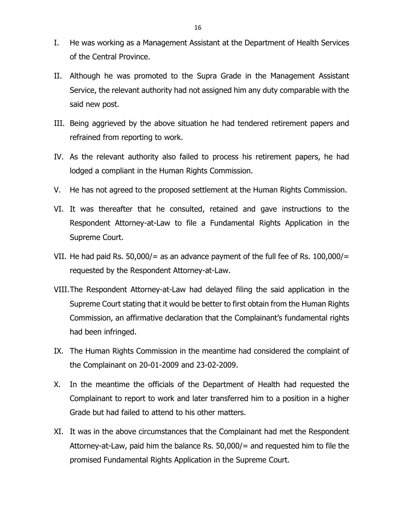- I. He was working as a Management Assistant at the Department of Health Services of the Central Province.
- II. Although he was promoted to the Supra Grade in the Management Assistant Service, the relevant authority had not assigned him any duty comparable with the said new post.
- III. Being aggrieved by the above situation he had tendered retirement papers and refrained from reporting to work.
- IV. As the relevant authority also failed to process his retirement papers, he had lodged a compliant in the Human Rights Commission.
- V. He has not agreed to the proposed settlement at the Human Rights Commission.
- VI. It was thereafter that he consulted, retained and gave instructions to the Respondent Attorney-at-Law to file a Fundamental Rights Application in the Supreme Court.
- VII. He had paid Rs. 50,000/= as an advance payment of the full fee of Rs.  $100,000/$ = requested by the Respondent Attorney-at-Law.
- VIII.The Respondent Attorney-at-Law had delayed filing the said application in the Supreme Court stating that it would be better to first obtain from the Human Rights Commission, an affirmative declaration that the Complainant's fundamental rights had been infringed.
- IX. The Human Rights Commission in the meantime had considered the complaint of the Complainant on 20-01-2009 and 23-02-2009.
- X. In the meantime the officials of the Department of Health had requested the Complainant to report to work and later transferred him to a position in a higher Grade but had failed to attend to his other matters.
- XI. It was in the above circumstances that the Complainant had met the Respondent Attorney-at-Law, paid him the balance Rs. 50,000/= and requested him to file the promised Fundamental Rights Application in the Supreme Court.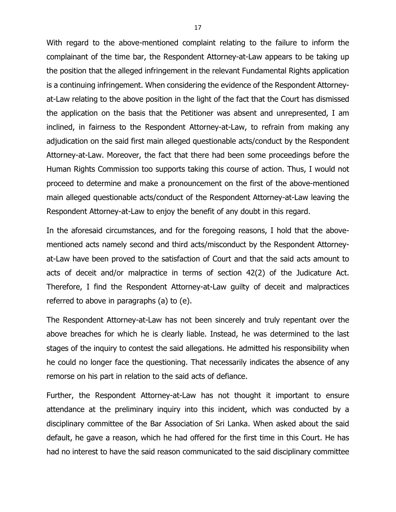With regard to the above-mentioned complaint relating to the failure to inform the complainant of the time bar, the Respondent Attorney-at-Law appears to be taking up the position that the alleged infringement in the relevant Fundamental Rights application is a continuing infringement. When considering the evidence of the Respondent Attorneyat-Law relating to the above position in the light of the fact that the Court has dismissed the application on the basis that the Petitioner was absent and unrepresented, I am inclined, in fairness to the Respondent Attorney-at-Law, to refrain from making any adjudication on the said first main alleged questionable acts/conduct by the Respondent Attorney-at-Law. Moreover, the fact that there had been some proceedings before the Human Rights Commission too supports taking this course of action. Thus, I would not proceed to determine and make a pronouncement on the first of the above-mentioned main alleged questionable acts/conduct of the Respondent Attorney-at-Law leaving the Respondent Attorney-at-Law to enjoy the benefit of any doubt in this regard.

In the aforesaid circumstances, and for the foregoing reasons, I hold that the abovementioned acts namely second and third acts/misconduct by the Respondent Attorneyat-Law have been proved to the satisfaction of Court and that the said acts amount to acts of deceit and/or malpractice in terms of section 42(2) of the Judicature Act. Therefore, I find the Respondent Attorney-at-Law guilty of deceit and malpractices referred to above in paragraphs (a) to (e).

The Respondent Attorney-at-Law has not been sincerely and truly repentant over the above breaches for which he is clearly liable. Instead, he was determined to the last stages of the inquiry to contest the said allegations. He admitted his responsibility when he could no longer face the questioning. That necessarily indicates the absence of any remorse on his part in relation to the said acts of defiance.

Further, the Respondent Attorney-at-Law has not thought it important to ensure attendance at the preliminary inquiry into this incident, which was conducted by a disciplinary committee of the Bar Association of Sri Lanka. When asked about the said default, he gave a reason, which he had offered for the first time in this Court. He has had no interest to have the said reason communicated to the said disciplinary committee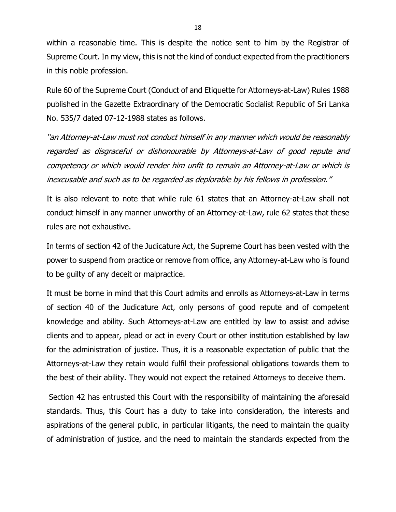within a reasonable time. This is despite the notice sent to him by the Registrar of Supreme Court. In my view, this is not the kind of conduct expected from the practitioners in this noble profession.

Rule 60 of the Supreme Court (Conduct of and Etiquette for Attorneys-at-Law) Rules 1988 published in the Gazette Extraordinary of the Democratic Socialist Republic of Sri Lanka No. 535/7 dated 07-12-1988 states as follows.

"an Attorney-at-Law must not conduct himself in any manner which would be reasonably regarded as disgraceful or dishonourable by Attorneys-at-Law of good repute and competency or which would render him unfit to remain an Attorney-at-Law or which is inexcusable and such as to be regarded as deplorable by his fellows in profession."

It is also relevant to note that while rule 61 states that an Attorney-at-Law shall not conduct himself in any manner unworthy of an Attorney-at-Law, rule 62 states that these rules are not exhaustive.

In terms of section 42 of the Judicature Act, the Supreme Court has been vested with the power to suspend from practice or remove from office, any Attorney-at-Law who is found to be guilty of any deceit or malpractice.

It must be borne in mind that this Court admits and enrolls as Attorneys-at-Law in terms of section 40 of the Judicature Act, only persons of good repute and of competent knowledge and ability. Such Attorneys-at-Law are entitled by law to assist and advise clients and to appear, plead or act in every Court or other institution established by law for the administration of justice. Thus, it is a reasonable expectation of public that the Attorneys-at-Law they retain would fulfil their professional obligations towards them to the best of their ability. They would not expect the retained Attorneys to deceive them.

Section 42 has entrusted this Court with the responsibility of maintaining the aforesaid standards. Thus, this Court has a duty to take into consideration, the interests and aspirations of the general public, in particular litigants, the need to maintain the quality of administration of justice, and the need to maintain the standards expected from the